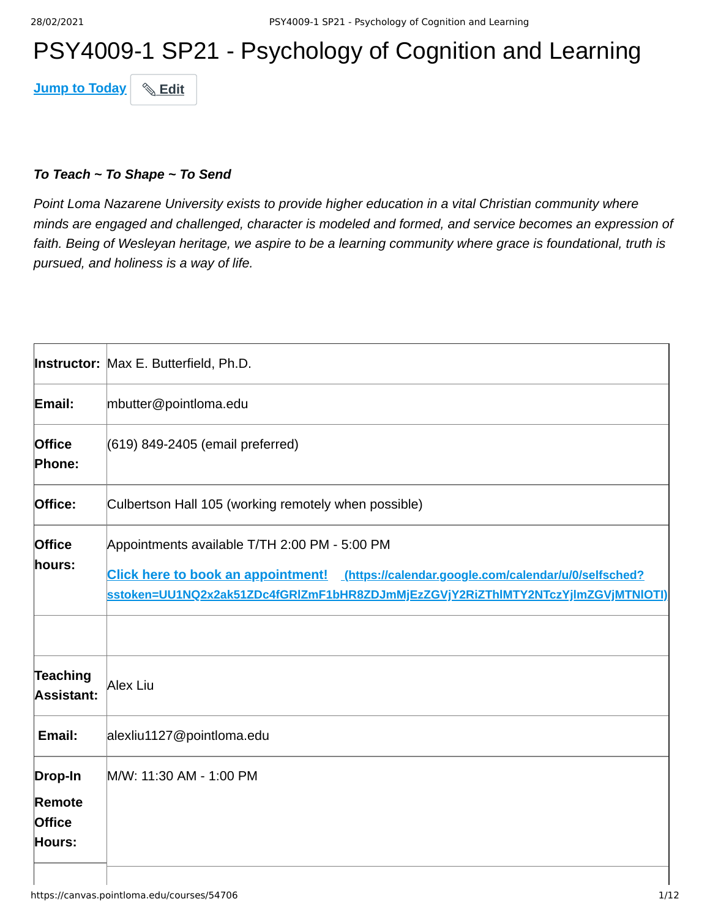# PSY4009-1 SP21 - Psychology of Cognition and Learning

**Jump to Today & Edit** 

#### *To Teach ~ To Shape ~ To Send*

*Point Loma Nazarene University exists to provide higher education in a vital Christian community where minds are engaged and challenged, character is modeled and formed, and service becomes an expression of faith. Being of Wesleyan heritage, we aspire to be a learning community where grace is foundational, truth is pursued, and holiness is a way of life.*

|                                              | <b>Instructor: Max E. Butterfield, Ph.D.</b>                                                                                                                                                                                        |
|----------------------------------------------|-------------------------------------------------------------------------------------------------------------------------------------------------------------------------------------------------------------------------------------|
| Email:                                       | mbutter@pointloma.edu                                                                                                                                                                                                               |
| <b>Office</b><br>Phone:                      | (619) 849-2405 (email preferred)                                                                                                                                                                                                    |
| Office:                                      | Culbertson Hall 105 (working remotely when possible)                                                                                                                                                                                |
| <b>Office</b><br>hours:                      | Appointments available T/TH 2:00 PM - 5:00 PM<br>Click here to book an appointment! (https://calendar.google.com/calendar/u/0/selfsched?<br><u>sstoken=UU1NQ2x2ak51ZDc4fGRlZmF1bHR8ZDJmMjEzZGVjY2RiZThIMTY2NTczYjImZGVjMTNIOTI)</u> |
| Teaching<br>Assistant:                       | Alex Liu                                                                                                                                                                                                                            |
| Email:                                       | alexliu1127@pointloma.edu                                                                                                                                                                                                           |
| Drop-In<br>Remote<br><b>Office</b><br>Hours: | M/W: 11:30 AM - 1:00 PM                                                                                                                                                                                                             |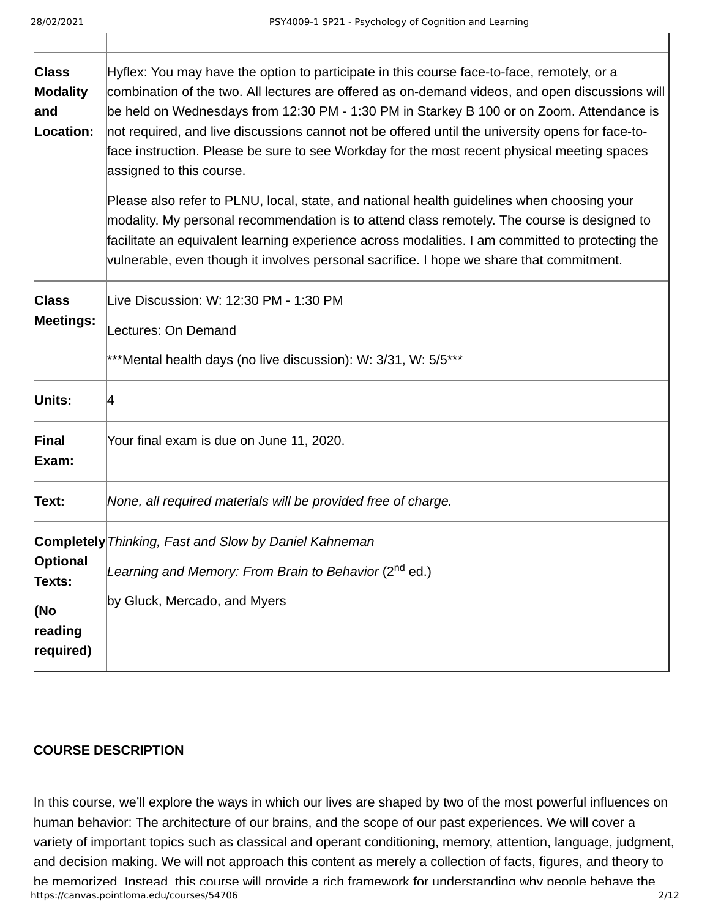| <b>Class</b><br><b>Modality</b><br>and<br>Location: | Hyflex: You may have the option to participate in this course face-to-face, remotely, or a<br>combination of the two. All lectures are offered as on-demand videos, and open discussions will<br>be held on Wednesdays from 12:30 PM - 1:30 PM in Starkey B 100 or on Zoom. Attendance is<br>not required, and live discussions cannot not be offered until the university opens for face-to-<br>face instruction. Please be sure to see Workday for the most recent physical meeting spaces<br>assigned to this course. |
|-----------------------------------------------------|--------------------------------------------------------------------------------------------------------------------------------------------------------------------------------------------------------------------------------------------------------------------------------------------------------------------------------------------------------------------------------------------------------------------------------------------------------------------------------------------------------------------------|
|                                                     | Please also refer to PLNU, local, state, and national health guidelines when choosing your<br>modality. My personal recommendation is to attend class remotely. The course is designed to<br>facilitate an equivalent learning experience across modalities. I am committed to protecting the<br>vulnerable, even though it involves personal sacrifice. I hope we share that commitment.                                                                                                                                |
| <b>Class</b><br><b>Meetings:</b>                    | Live Discussion: W: 12:30 PM - 1:30 PM<br>Lectures: On Demand<br>***Mental health days (no live discussion): W: 3/31, W: 5/5***                                                                                                                                                                                                                                                                                                                                                                                          |
| Units:                                              | 4                                                                                                                                                                                                                                                                                                                                                                                                                                                                                                                        |
| Final<br>Exam:                                      | Your final exam is due on June 11, 2020.                                                                                                                                                                                                                                                                                                                                                                                                                                                                                 |
| Text:                                               | None, all required materials will be provided free of charge.                                                                                                                                                                                                                                                                                                                                                                                                                                                            |
| Optional<br>Texts:<br>(No                           | <b>Completely</b> Thinking, Fast and Slow by Daniel Kahneman<br>Learning and Memory: From Brain to Behavior (2 <sup>nd</sup> ed.)<br>by Gluck, Mercado, and Myers                                                                                                                                                                                                                                                                                                                                                        |
| reading<br>required)                                |                                                                                                                                                                                                                                                                                                                                                                                                                                                                                                                          |

#### **COURSE DESCRIPTION**

https://canvas.pointloma.edu/courses/54706 2/12 In this course, we'll explore the ways in which our lives are shaped by two of the most powerful influences on human behavior: The architecture of our brains, and the scope of our past experiences. We will cover a variety of important topics such as classical and operant conditioning, memory, attention, language, judgment, and decision making. We will not approach this content as merely a collection of facts, figures, and theory to be memorized Instead this course will provide a rich framework for understanding why people behave the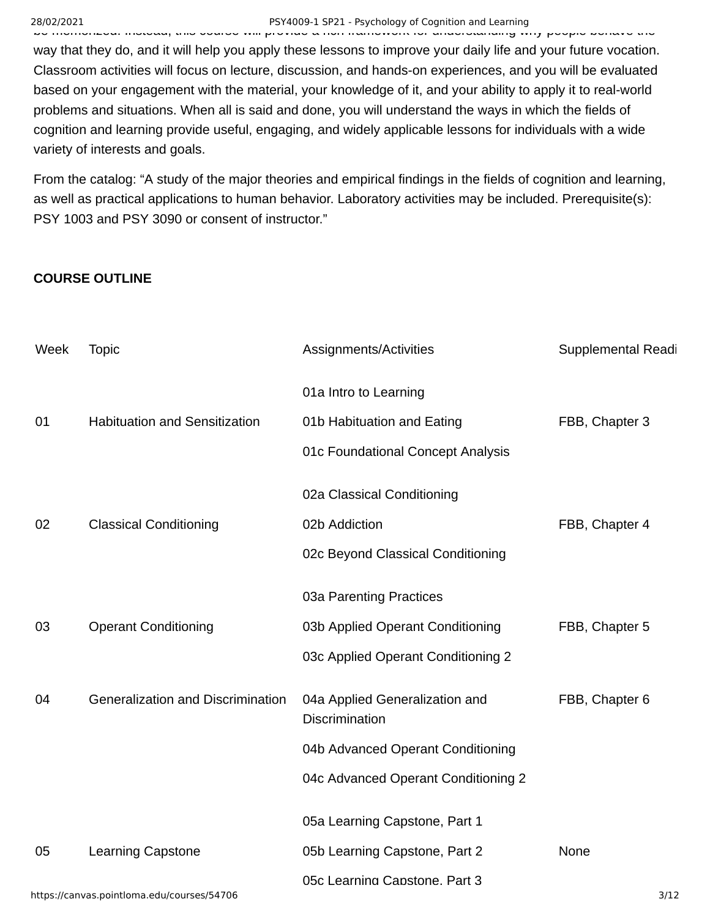# 28/02/2021 PSY4009-1 SP21 - Psychology of Cognition and Learning

be memorized. Instead, this course will provide a rich framework for understanding why people behave the way that they do, and it will help you apply these lessons to improve your daily life and your future vocation. Classroom activities will focus on lecture, discussion, and hands-on experiences, and you will be evaluated based on your engagement with the material, your knowledge of it, and your ability to apply it to real-world problems and situations. When all is said and done, you will understand the ways in which the fields of cognition and learning provide useful, engaging, and widely applicable lessons for individuals with a wide variety of interests and goals.

From the catalog: "A study of the major theories and empirical findings in the fields of cognition and learning, as well as practical applications to human behavior. Laboratory activities may be included. Prerequisite(s): PSY 1003 and PSY 3090 or consent of instructor."

#### **COURSE OUTLINE**

| Week | <b>Topic</b>                               | Assignments/Activities                                  | Supplemental Readi |
|------|--------------------------------------------|---------------------------------------------------------|--------------------|
|      |                                            | 01a Intro to Learning                                   |                    |
| 01   | <b>Habituation and Sensitization</b>       | 01b Habituation and Eating                              | FBB, Chapter 3     |
|      |                                            | 01c Foundational Concept Analysis                       |                    |
|      |                                            | 02a Classical Conditioning                              |                    |
| 02   | <b>Classical Conditioning</b>              | 02b Addiction                                           | FBB, Chapter 4     |
|      |                                            | 02c Beyond Classical Conditioning                       |                    |
|      |                                            | 03a Parenting Practices                                 |                    |
| 03   | <b>Operant Conditioning</b>                | 03b Applied Operant Conditioning                        | FBB, Chapter 5     |
|      |                                            | 03c Applied Operant Conditioning 2                      |                    |
| 04   | Generalization and Discrimination          | 04a Applied Generalization and<br><b>Discrimination</b> | FBB, Chapter 6     |
|      |                                            | 04b Advanced Operant Conditioning                       |                    |
|      |                                            | 04c Advanced Operant Conditioning 2                     |                    |
|      |                                            | 05a Learning Capstone, Part 1                           |                    |
| 05   | <b>Learning Capstone</b>                   | 05b Learning Capstone, Part 2                           | None               |
|      | https://canvas.pointloma.edu/courses/54706 | 05c Learning Capstone. Part 3                           | 3/12               |
|      |                                            |                                                         |                    |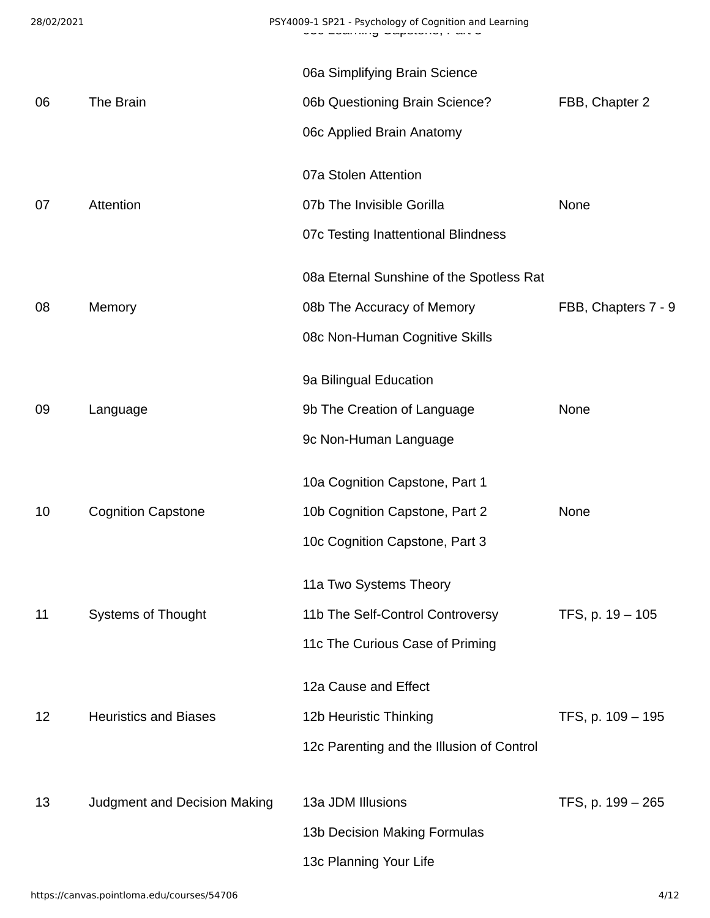|    |                              | 06a Simplifying Brain Science             |                     |
|----|------------------------------|-------------------------------------------|---------------------|
| 06 | The Brain                    | 06b Questioning Brain Science?            | FBB, Chapter 2      |
|    |                              | 06c Applied Brain Anatomy                 |                     |
|    |                              | 07a Stolen Attention                      |                     |
| 07 | Attention                    | 07b The Invisible Gorilla                 | None                |
|    |                              | 07c Testing Inattentional Blindness       |                     |
|    |                              | 08a Eternal Sunshine of the Spotless Rat  |                     |
| 08 | Memory                       | 08b The Accuracy of Memory                | FBB, Chapters 7 - 9 |
|    |                              | 08c Non-Human Cognitive Skills            |                     |
|    |                              | 9a Bilingual Education                    |                     |
| 09 | Language                     | 9b The Creation of Language               | None                |
|    |                              | 9c Non-Human Language                     |                     |
|    |                              | 10a Cognition Capstone, Part 1            |                     |
| 10 | <b>Cognition Capstone</b>    | 10b Cognition Capstone, Part 2            | None                |
|    |                              | 10c Cognition Capstone, Part 3            |                     |
|    |                              | 11a Two Systems Theory                    |                     |
| 11 | <b>Systems of Thought</b>    | 11b The Self-Control Controversy          | TFS, p. 19 - 105    |
|    |                              | 11c The Curious Case of Priming           |                     |
|    |                              | 12a Cause and Effect                      |                     |
| 12 | <b>Heuristics and Biases</b> | 12b Heuristic Thinking                    | TFS, p. 109 - 195   |
|    |                              | 12c Parenting and the Illusion of Control |                     |
|    |                              |                                           |                     |
| 13 | Judgment and Decision Making | 13a JDM Illusions                         | TFS, p. 199 - 265   |
|    |                              | 13b Decision Making Formulas              |                     |
|    |                              | 13c Planning Your Life                    |                     |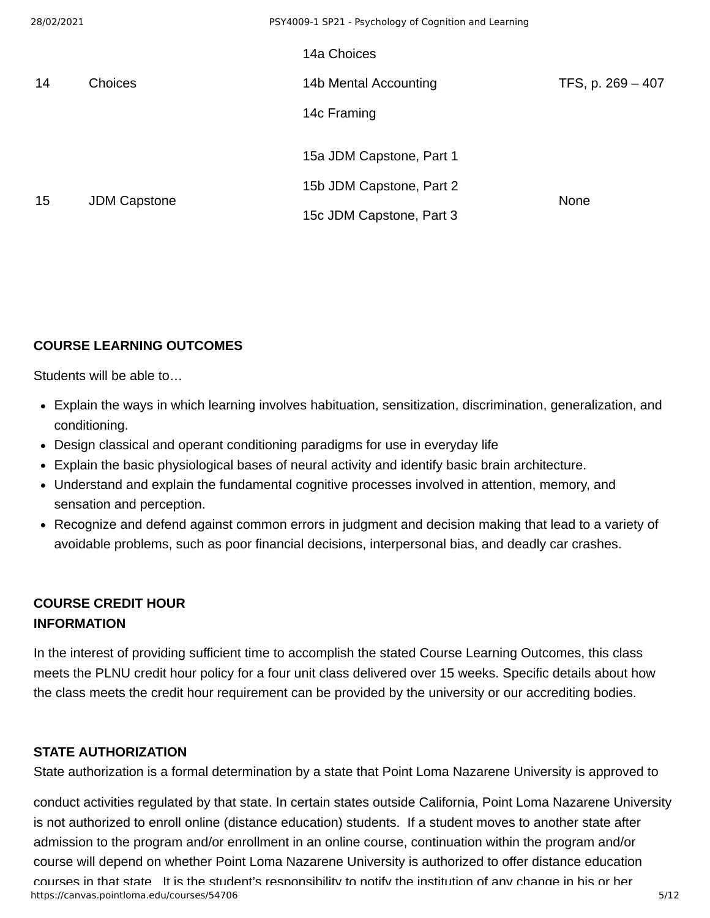| 28/02/2021 |                     | PSY4009-1 SP21 - Psychology of Cognition and Learning |                   |
|------------|---------------------|-------------------------------------------------------|-------------------|
|            |                     | 14a Choices                                           |                   |
| 14         | <b>Choices</b>      | 14b Mental Accounting                                 | TFS, p. 269 - 407 |
|            |                     | 14c Framing                                           |                   |
|            |                     | 15a JDM Capstone, Part 1                              |                   |
|            |                     | 15b JDM Capstone, Part 2                              | None              |
| 15         | <b>JDM Capstone</b> | 15c JDM Capstone, Part 3                              |                   |

## **COURSE LEARNING OUTCOMES**

Students will be able to…

- Explain the ways in which learning involves habituation, sensitization, discrimination, generalization, and conditioning.
- Design classical and operant conditioning paradigms for use in everyday life
- Explain the basic physiological bases of neural activity and identify basic brain architecture.
- Understand and explain the fundamental cognitive processes involved in attention, memory, and sensation and perception.
- Recognize and defend against common errors in judgment and decision making that lead to a variety of avoidable problems, such as poor financial decisions, interpersonal bias, and deadly car crashes.

# **COURSE CREDIT HOUR INFORMATION**

In the interest of providing sufficient time to accomplish the stated Course Learning Outcomes, this class meets the PLNU credit hour policy for a four unit class delivered over 15 weeks. Specific details about how the class meets the credit hour requirement can be provided by the university or our accrediting bodies.

## **STATE AUTHORIZATION**

State authorization is a formal determination by a state that Point Loma Nazarene University is approved to

https://canvas.pointloma.edu/courses/54706 5/12 conduct activities regulated by that state. In certain states outside California, Point Loma Nazarene University is not authorized to enroll online (distance education) students. If a student moves to another state after admission to the program and/or enrollment in an online course, continuation within the program and/or course will depend on whether Point Loma Nazarene University is authorized to offer distance education courses in that state It is the student's responsibility to notify the institution of any change in his or her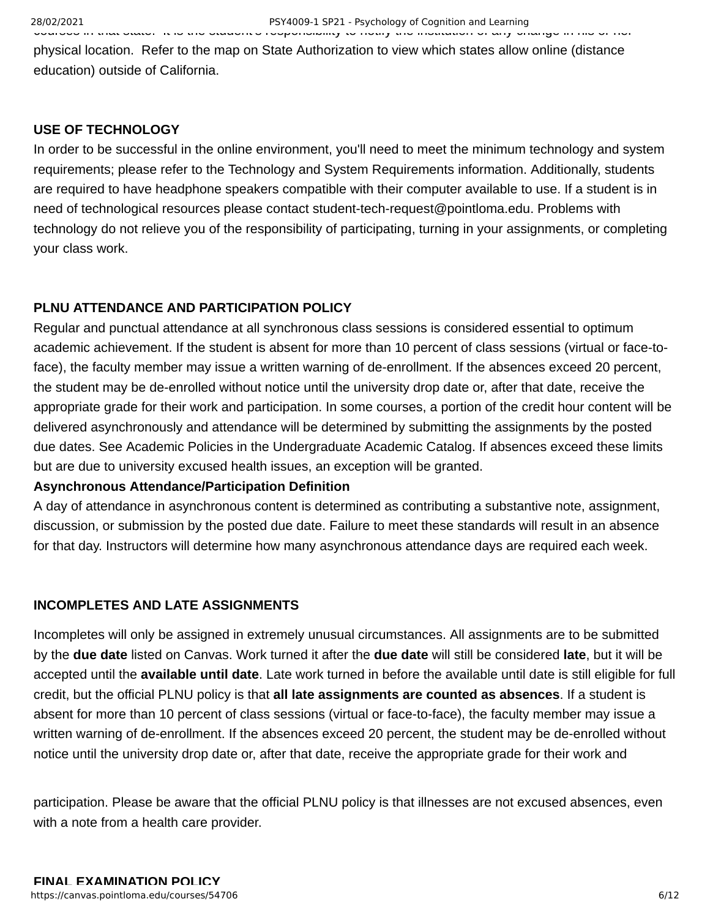courses in that state. It is the student s responsibility to notify the institution of any change in his or her physical location. Refer to the map on State Authorization to view which states allow online (distance education) outside of California.

#### **USE OF TECHNOLOGY**

In order to be successful in the online environment, you'll need to meet the minimum technology and system requirements; please refer to the Technology and System Requirements information. Additionally, students are required to have headphone speakers compatible with their computer available to use. If a student is in need of technological resources please contact student-tech-request@pointloma.edu. Problems with technology do not relieve you of the responsibility of participating, turning in your assignments, or completing your class work.

#### **PLNU ATTENDANCE AND PARTICIPATION POLICY**

Regular and punctual attendance at all synchronous class sessions is considered essential to optimum academic achievement. If the student is absent for more than 10 percent of class sessions (virtual or face-toface), the faculty member may issue a written warning of de-enrollment. If the absences exceed 20 percent, the student may be de-enrolled without notice until the university drop date or, after that date, receive the appropriate grade for their work and participation. In some courses, a portion of the credit hour content will be delivered asynchronously and attendance will be determined by submitting the assignments by the posted due dates. See Academic Policies in the Undergraduate Academic Catalog. If absences exceed these limits but are due to university excused health issues, an exception will be granted.

#### **Asynchronous Attendance/Participation Definition**

A day of attendance in asynchronous content is determined as contributing a substantive note, assignment, discussion, or submission by the posted due date. Failure to meet these standards will result in an absence for that day. Instructors will determine how many asynchronous attendance days are required each week.

## **INCOMPLETES AND LATE ASSIGNMENTS**

Incompletes will only be assigned in extremely unusual circumstances. All assignments are to be submitted by the **due date** listed on Canvas. Work turned it after the **due date** will still be considered **late**, but it will be accepted until the **available until date**. Late work turned in before the available until date is still eligible for full credit, but the official PLNU policy is that **all late assignments are counted as absences**. If a student is absent for more than 10 percent of class sessions (virtual or face-to-face), the faculty member may issue a written warning of de-enrollment. If the absences exceed 20 percent, the student may be de-enrolled without notice until the university drop date or, after that date, receive the appropriate grade for their work and

participation. Please be aware that the official PLNU policy is that illnesses are not excused absences, even with a note from a health care provider.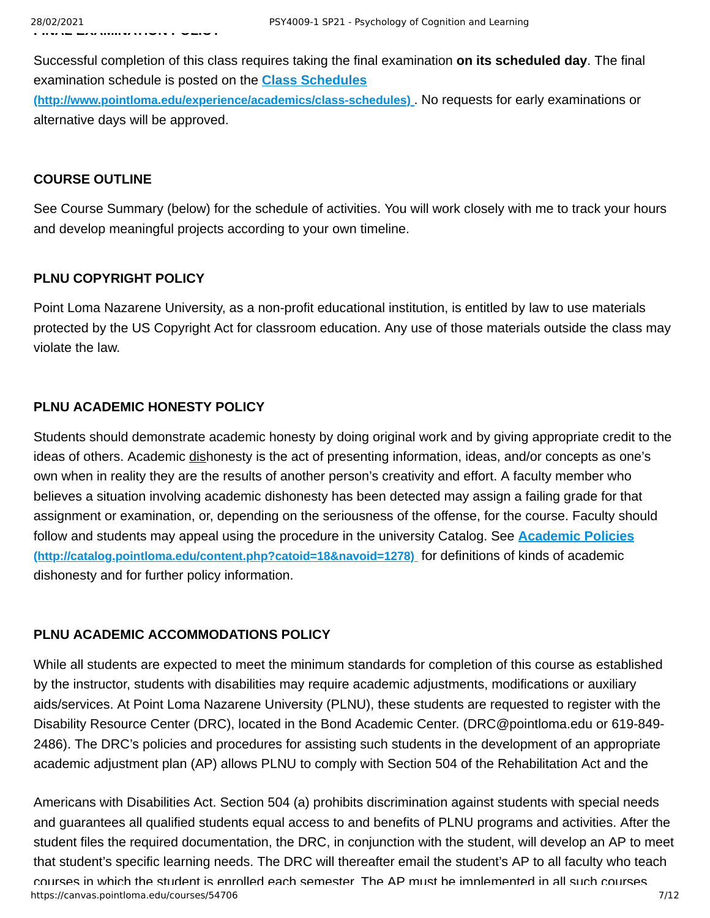Successful completion of this class requires taking the final examination **on its scheduled day**. The final examination schedule is posted on the **Class Schedules [\(http://www.pointloma.edu/experience/academics/class-schedules\)](http://www.pointloma.edu/experience/academics/class-schedules)** . No requests for early examinations or

alternative days will be approved.

# **COURSE OUTLINE**

See Course Summary (below) for the schedule of activities. You will work closely with me to track your hours and develop meaningful projects according to your own timeline.

# **PLNU COPYRIGHT POLICY**

Point Loma Nazarene University, as a non-profit educational institution, is entitled by law to use materials protected by the US Copyright Act for classroom education. Any use of those materials outside the class may violate the law.

# **PLNU ACADEMIC HONESTY POLICY**

Students should demonstrate academic honesty by doing original work and by giving appropriate credit to the ideas of others. Academic dishonesty is the act of presenting information, ideas, and/or concepts as one's own when in reality they are the results of another person's creativity and effort. A faculty member who believes a situation involving academic dishonesty has been detected may assign a failing grade for that assignment or examination, or, depending on the seriousness of the offense, for the course. Faculty should [follow and students may appeal using the procedure in the university Catalog. See](http://catalog.pointloma.edu/content.php?catoid=18&navoid=1278) **Academic Policies (http://catalog.pointloma.edu/content.php?catoid=18&navoid=1278)** for definitions of kinds of academic dishonesty and for further policy information.

# **PLNU ACADEMIC ACCOMMODATIONS POLICY**

While all students are expected to meet the minimum standards for completion of this course as established by the instructor, students with disabilities may require academic adjustments, modifications or auxiliary aids/services. At Point Loma Nazarene University (PLNU), these students are requested to register with the Disability Resource Center (DRC), located in the Bond Academic Center. (DRC@pointloma.edu or 619-849- 2486). The DRC's policies and procedures for assisting such students in the development of an appropriate academic adjustment plan (AP) allows PLNU to comply with Section 504 of the Rehabilitation Act and the

https://canvas.pointloma.edu/courses/54706 7/12 Americans with Disabilities Act. Section 504 (a) prohibits discrimination against students with special needs and guarantees all qualified students equal access to and benefits of PLNU programs and activities. After the student files the required documentation, the DRC, in conjunction with the student, will develop an AP to meet that student's specific learning needs. The DRC will thereafter email the student's AP to all faculty who teach courses in which the student is enrolled each semester The AP must be implemented in all such courses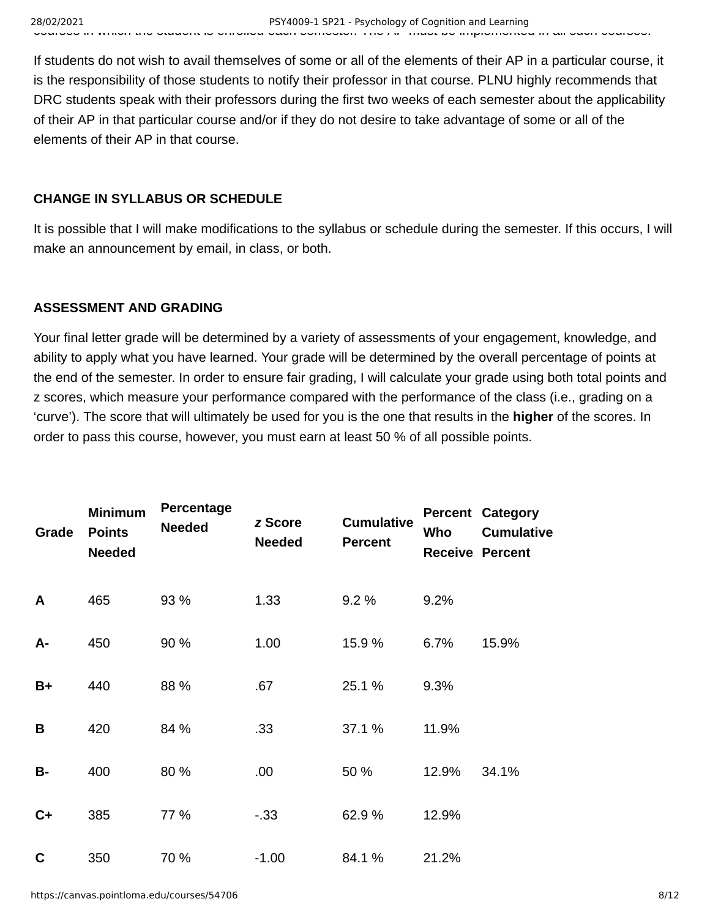If students do not wish to avail themselves of some or all of the elements of their AP in a particular course, it is the responsibility of those students to notify their professor in that course. PLNU highly recommends that DRC students speak with their professors during the first two weeks of each semester about the applicability of their AP in that particular course and/or if they do not desire to take advantage of some or all of the elements of their AP in that course.

# **CHANGE IN SYLLABUS OR SCHEDULE**

It is possible that I will make modifications to the syllabus or schedule during the semester. If this occurs, I will make an announcement by email, in class, or both.

# **ASSESSMENT AND GRADING**

Your final letter grade will be determined by a variety of assessments of your engagement, knowledge, and ability to apply what you have learned. Your grade will be determined by the overall percentage of points at the end of the semester. In order to ensure fair grading, I will calculate your grade using both total points and z scores, which measure your performance compared with the performance of the class (i.e., grading on a 'curve'). The score that will ultimately be used for you is the one that results in the **higher** of the scores. In order to pass this course, however, you must earn at least 50 % of all possible points.

| Grade       | <b>Minimum</b><br><b>Points</b><br><b>Needed</b> | Percentage<br><b>Needed</b> | z Score<br><b>Needed</b> | <b>Cumulative</b><br><b>Percent</b> | Who   | <b>Percent Category</b><br><b>Cumulative</b><br><b>Receive Percent</b> |
|-------------|--------------------------------------------------|-----------------------------|--------------------------|-------------------------------------|-------|------------------------------------------------------------------------|
| A           | 465                                              | 93 %                        | 1.33                     | 9.2 %                               | 9.2%  |                                                                        |
| A-          | 450                                              | 90 %                        | 1.00                     | 15.9 %                              | 6.7%  | 15.9%                                                                  |
| $B+$        | 440                                              | 88 %                        | .67                      | 25.1 %                              | 9.3%  |                                                                        |
| в           | 420                                              | 84 %                        | .33                      | 37.1 %                              | 11.9% |                                                                        |
| <b>B-</b>   | 400                                              | 80 %                        | .00                      | 50 %                                | 12.9% | 34.1%                                                                  |
| $C+$        | 385                                              | 77 %                        | $-.33$                   | 62.9%                               | 12.9% |                                                                        |
| $\mathbf C$ | 350                                              | 70 %                        | $-1.00$                  | 84.1 %                              | 21.2% |                                                                        |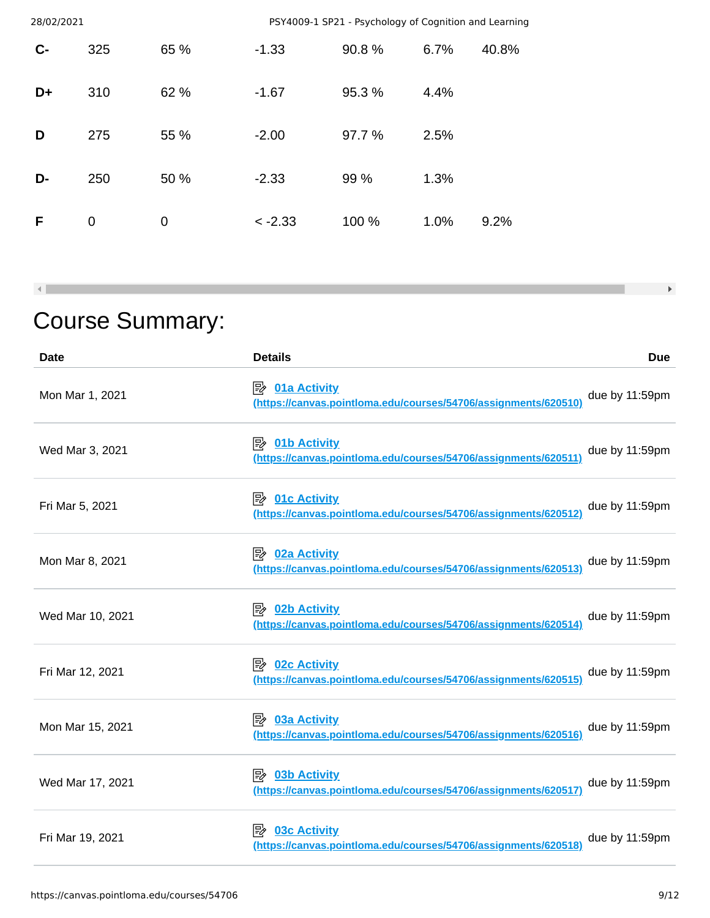| 28/02/2021 |                |      | PSY4009-1 SP21 - Psychology of Cognition and Learning |        |      |       |
|------------|----------------|------|-------------------------------------------------------|--------|------|-------|
| $C -$      | 325            | 65 % | $-1.33$                                               | 90.8%  | 6.7% | 40.8% |
| D+         | 310            | 62 % | $-1.67$                                               | 95.3 % | 4.4% |       |
| D          | 275            | 55 % | $-2.00$                                               | 97.7 % | 2.5% |       |
| D-         | 250            | 50 % | $-2.33$                                               | 99 %   | 1.3% |       |
| F          | $\overline{0}$ | 0    | $< -2.33$                                             | 100 %  | 1.0% | 9.2%  |

 $\rightarrow$ 

# Course Summary:

 $\blacktriangleleft$   $\blacksquare$ 

| <b>Date</b>      | <b>Details</b>                                                                                | <b>Due</b>     |
|------------------|-----------------------------------------------------------------------------------------------|----------------|
| Mon Mar 1, 2021  | $\Rightarrow$ 01a Activity<br>(https://canvas.pointloma.edu/courses/54706/assignments/620510) | due by 11:59pm |
| Wed Mar 3, 2021  | $\mathbb{R}$ 01b Activity<br>(https://canvas.pointloma.edu/courses/54706/assignments/620511)  | due by 11:59pm |
| Fri Mar 5, 2021  | $\Rightarrow$ 01c Activity<br>(https://canvas.pointloma.edu/courses/54706/assignments/620512) | due by 11:59pm |
| Mon Mar 8, 2021  | 眕<br>02a Activity<br>(https://canvas.pointloma.edu/courses/54706/assignments/620513)          | due by 11:59pm |
| Wed Mar 10, 2021 | $\Rightarrow$ 02b Activity<br>(https://canvas.pointloma.edu/courses/54706/assignments/620514) | due by 11:59pm |
| Fri Mar 12, 2021 | <b>02c Activity</b><br>眕<br>(https://canvas.pointloma.edu/courses/54706/assignments/620515)   | due by 11:59pm |
| Mon Mar 15, 2021 | 03a Activity<br>眕<br>(https://canvas.pointloma.edu/courses/54706/assignments/620516)          | due by 11:59pm |
| Wed Mar 17, 2021 | <b>03b Activity</b><br>⊯<br>(https://canvas.pointloma.edu/courses/54706/assignments/620517    | due by 11:59pm |
| Fri Mar 19, 2021 | <b>03c Activity</b><br>眕<br>(https://canvas.pointloma.edu/courses/54706/assignments/620518)   | due by 11:59pm |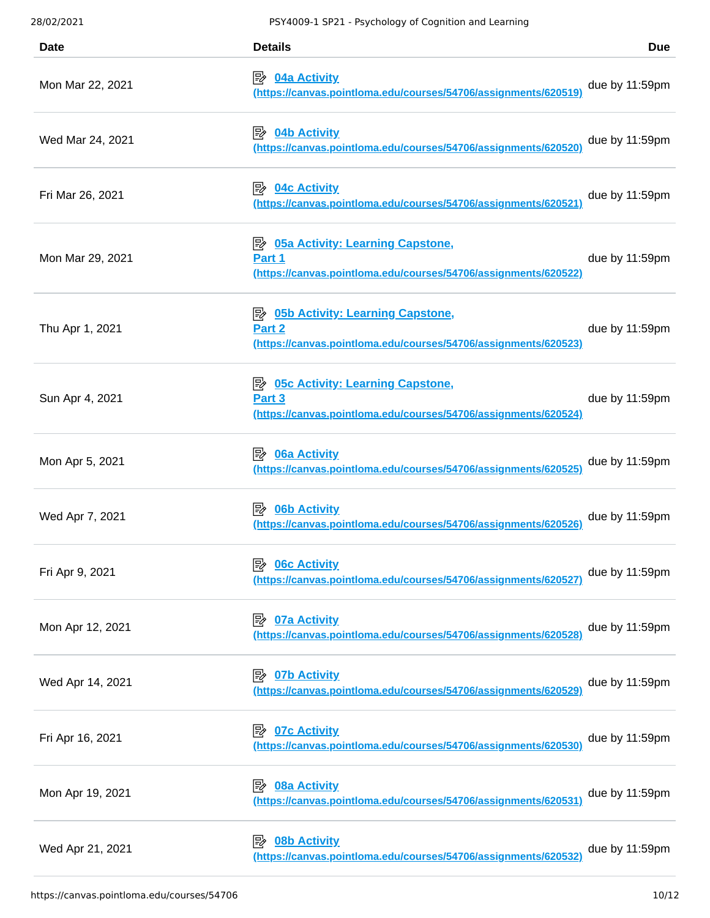28/02/2021 PSY4009-1 SP21 - Psychology of Cognition and Learning **Date Details Due** Mon Mar 22, 2021 **04a Activity [\(https://canvas.pointloma.edu/courses/54706/assignments/620519\)](https://canvas.pointloma.edu/courses/54706/assignments/620519)** due by 11:59pm Wed Mar 24, 2021 **04b Activity [\(https://canvas.pointloma.edu/courses/54706/assignments/620520\)](https://canvas.pointloma.edu/courses/54706/assignments/620520)** due by 11:59pm Fri Mar 26, 2021 **04c Activity [\(https://canvas.pointloma.edu/courses/54706/assignments/620521\)](https://canvas.pointloma.edu/courses/54706/assignments/620521)** due by 11:59pm Mon Mar 29, 2021 **05a Activity: Learning Capstone, Part 1 [\(https://canvas.pointloma.edu/courses/54706/assignments/620522\)](https://canvas.pointloma.edu/courses/54706/assignments/620522)** due by 11:59pm Thu Apr 1, 2021 **<u>B** 05b Activity: Learning Capstone,</u> **Part 2 [\(https://canvas.pointloma.edu/courses/54706/assignments/620523\)](https://canvas.pointloma.edu/courses/54706/assignments/620523)** due by 11:59pm Sun Apr 4, 2021 **<u><b>E** 05c Activity: Learning Capstone,</u> **Part 3 [\(https://canvas.pointloma.edu/courses/54706/assignments/620524\)](https://canvas.pointloma.edu/courses/54706/assignments/620524)** due by 11:59pm Mon Apr 5, 2021 **06a Activity [\(https://canvas.pointloma.edu/courses/54706/assignments/620525\)](https://canvas.pointloma.edu/courses/54706/assignments/620525)** due by 11:59pm Wed Apr 7, 2021 **06b Activity [\(https://canvas.pointloma.edu/courses/54706/assignments/620526\)](https://canvas.pointloma.edu/courses/54706/assignments/620526)** due by 11:59pm Fri Apr 9, 2021 **06c Activity [\(https://canvas.pointloma.edu/courses/54706/assignments/620527\)](https://canvas.pointloma.edu/courses/54706/assignments/620527)** due by 11:59pm Mon Apr 12, 2021 **07a Activity [\(https://canvas.pointloma.edu/courses/54706/assignments/620528\)](https://canvas.pointloma.edu/courses/54706/assignments/620528)** due by 11:59pm **COMPLE APR 14, 2021 In the UP of Activity COMPLE 2021 [\(https://canvas.pointloma.edu/courses/54706/assignments/620529\)](https://canvas.pointloma.edu/courses/54706/assignments/620529)** due by 11:59pm Fri Apr 16, 2021 **07c Activity [\(https://canvas.pointloma.edu/courses/54706/assignments/620530\)](https://canvas.pointloma.edu/courses/54706/assignments/620530)** due by 11:59pm Mon Apr 19, 2021 **08a Activity [\(https://canvas.pointloma.edu/courses/54706/assignments/620531\)](https://canvas.pointloma.edu/courses/54706/assignments/620531)** due by 11:59pm Wed Apr 21, 2021 *D***<sub>2</sub> 08b Activity [\(https://canvas.pointloma.edu/courses/54706/assignments/620532\)](https://canvas.pointloma.edu/courses/54706/assignments/620532)** due by 11:59pm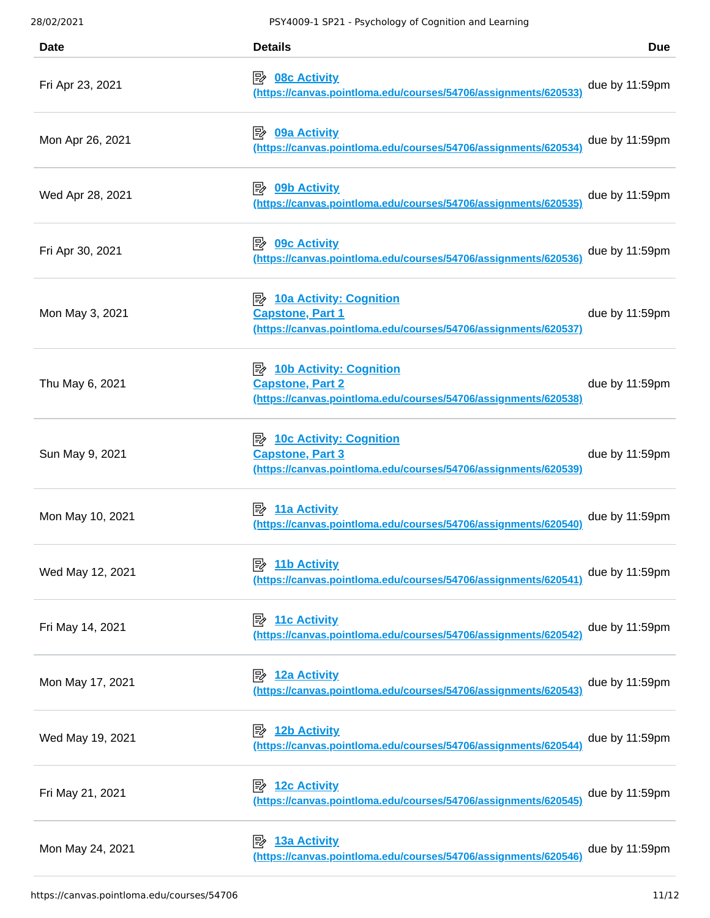| 28/02/2021       | PSY4009-1 SP21 - Psychology of Cognition and Learning                                                                          |                   |
|------------------|--------------------------------------------------------------------------------------------------------------------------------|-------------------|
| <b>Date</b>      | <b>Details</b>                                                                                                                 | <b>Due</b>        |
| Fri Apr 23, 2021 | ⊯<br><b>08c Activity</b><br>(https://canvas.pointloma.edu/courses/54706/assignments/620533)                                    | due by 11:59pm    |
| Mon Apr 26, 2021 | 眕<br>09a Activity<br>(https://canvas.pointloma.edu/courses/54706/assignments/620534)                                           | due by 11:59pm    |
| Wed Apr 28, 2021 | 眕<br><b>09b Activity</b><br>(https://canvas.pointloma.edu/courses/54706/assignments/620535)                                    | due by 11:59pm    |
| Fri Apr 30, 2021 | <b>09c Activity</b><br>⊯<br>(https://canvas.pointloma.edu/courses/54706/assignments/620536)                                    | due by 11:59pm    |
| Mon May 3, 2021  | <b>B</b> 10a Activity: Cognition<br><b>Capstone, Part 1</b><br>(https://canvas.pointloma.edu/courses/54706/assignments/620537) | due by 11:59pm    |
| Thu May 6, 2021  | <b>Capstone, Part 2</b><br>(https://canvas.pointloma.edu/courses/54706/assignments/620538)                                     | due by 11:59pm    |
| Sun May 9, 2021  | <b>Capstone, Part 3</b><br>(https://canvas.pointloma.edu/courses/54706/assignments/620539)                                     | due by 11:59pm    |
| Mon May 10, 2021 | <b>11a Activity</b><br>י⊯<br>(https://canvas.pointloma.edu/courses/54706/assignments/620540)                                   | due by 11:59pm    |
| Wed May 12, 2021 | 11b Activity<br>歐<br>(https://canvas.pointloma.edu/courses/54706/assignments/620541)                                           | due by 11:59pm    |
| Fri May 14, 2021 | $\mathbb{R}$ 11c Activity<br>(https://canvas.pointloma.edu/courses/54706/assignments/620542                                    | due by $11:59$ pm |
| Mon May 17, 2021 | <b>12a Activity</b><br>零<br>(https://canvas.pointloma.edu/courses/54706/assignments/620543)                                    | due by $11:59$ pm |
| Wed May 19, 2021 | <b>12b Activity</b><br>眇<br>(https://canvas.pointloma.edu/courses/54706/assignments/620544)                                    | due by $11:59$ pm |
| Fri May 21, 2021 | <b>12c Activity</b><br>眇<br>(https://canvas.pointloma.edu/courses/54706/assignments/620545)                                    | due by $11:59$ pm |
| Mon May 24, 2021 | <b>13a Activity</b><br>I₩<br>(https://canvas.pointloma.edu/courses/54706/assignments/620546)                                   | due by 11:59pm    |